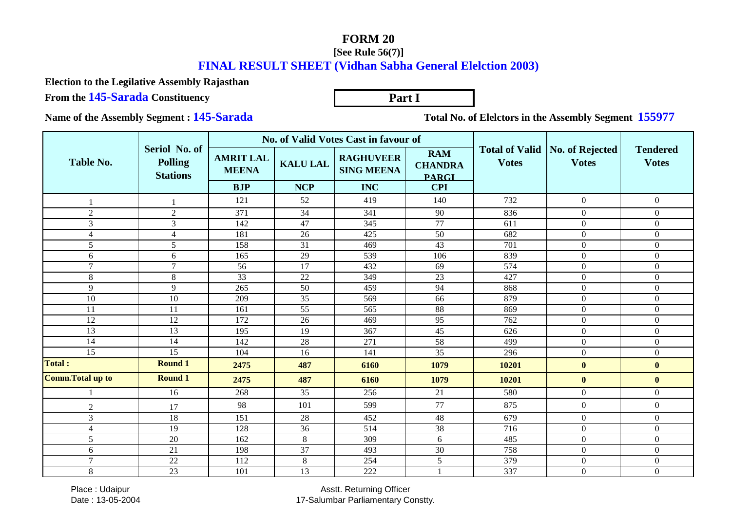## **FORM 20**

## **[See Rule 56(7)]**

## **FINAL RESULT SHEET (Vidhan Sabha General Elelction 2003)**

**Part I**

**Election to the Legilative Assembly Rajasthan**

**From the 145-Sarada Constituency**

**Name of the Assembly Segment : 145-Sarada**

**Total No. of Elelctors in the Assembly Segment 155977**

| <b>Table No.</b>         | Seriol No. of<br><b>Polling</b><br><b>Stations</b> |                                                |                               | No. of Valid Votes Cast in favour of                |                                                            |                                                    |                  |                                 |
|--------------------------|----------------------------------------------------|------------------------------------------------|-------------------------------|-----------------------------------------------------|------------------------------------------------------------|----------------------------------------------------|------------------|---------------------------------|
|                          |                                                    | <b>AMRIT LAL</b><br><b>MEENA</b><br><b>BJP</b> | <b>KALU LAL</b><br><b>NCP</b> | <b>RAGHUVEER</b><br><b>SING MEENA</b><br><b>INC</b> | <b>RAM</b><br><b>CHANDRA</b><br><b>PARGI</b><br><b>CPI</b> | Total of Valid   No. of Rejected  <br><b>Votes</b> | <b>Votes</b>     | <b>Tendered</b><br><b>Votes</b> |
|                          |                                                    | 121                                            | 52                            | 419                                                 | 140                                                        | 732                                                | $\boldsymbol{0}$ | $\boldsymbol{0}$                |
| $\overline{2}$           | 2                                                  | 371                                            | 34                            | 341                                                 | 90                                                         | 836                                                | $\overline{0}$   | $\boldsymbol{0}$                |
| 3                        | $\mathfrak{Z}$                                     | 142                                            | 47                            | 345                                                 | 77                                                         | 611                                                | $\boldsymbol{0}$ | $\boldsymbol{0}$                |
| $\overline{4}$           | $\overline{4}$                                     | 181                                            | 26                            | 425                                                 | 50                                                         | 682                                                | $\overline{0}$   | $\overline{0}$                  |
| 5                        | 5                                                  | 158                                            | 31                            | 469                                                 | 43                                                         | 701                                                | $\overline{0}$   | $\boldsymbol{0}$                |
| 6                        | 6                                                  | 165                                            | 29                            | 539                                                 | 106                                                        | 839                                                | $\overline{0}$   | $\overline{0}$                  |
| $\tau$                   | $\tau$                                             | 56                                             | 17                            | 432                                                 | 69                                                         | 574                                                | $\overline{0}$   | $\overline{0}$                  |
| $\,8\,$                  | 8                                                  | 33                                             | 22                            | 349                                                 | 23                                                         | 427                                                | $\boldsymbol{0}$ | $\boldsymbol{0}$                |
| 9                        | 9                                                  | 265                                            | 50                            | 459                                                 | 94                                                         | 868                                                | $\overline{0}$   | $\boldsymbol{0}$                |
| 10                       | 10                                                 | 209                                            | 35                            | 569                                                 | 66                                                         | 879                                                | $\overline{0}$   | $\mathbf{0}$                    |
| 11                       | 11                                                 | 161                                            | 55                            | 565                                                 | 88                                                         | 869                                                | $\Omega$         | $\overline{0}$                  |
| 12                       | 12                                                 | 172                                            | 26                            | 469                                                 | 95                                                         | 762                                                | $\boldsymbol{0}$ | $\boldsymbol{0}$                |
| 13                       | 13                                                 | 195                                            | 19                            | 367                                                 | 45                                                         | 626                                                | $\overline{0}$   | $\boldsymbol{0}$                |
| 14                       | 14                                                 | 142                                            | 28                            | 271                                                 | 58                                                         | 499                                                | $\overline{0}$   | $\boldsymbol{0}$                |
| 15                       | 15                                                 | 104                                            | 16                            | 141                                                 | 35                                                         | 296                                                | $\boldsymbol{0}$ | $\boldsymbol{0}$                |
| <b>Total:</b>            | <b>Round 1</b>                                     | 2475                                           | 487                           | 6160                                                | 1079                                                       | 10201                                              | $\bf{0}$         | $\bf{0}$                        |
| <b>Comm. Total up to</b> | <b>Round 1</b>                                     | 2475                                           | 487                           | 6160                                                | 1079                                                       | 10201                                              | $\bf{0}$         | $\mathbf{0}$                    |
|                          | 16                                                 | 268                                            | 35                            | 256                                                 | 21                                                         | 580                                                | $\overline{0}$   | $\boldsymbol{0}$                |
| $\mathfrak{2}$           | 17                                                 | 98                                             | 101                           | 599                                                 | 77                                                         | 875                                                | $\overline{0}$   | $\overline{0}$                  |
| $\overline{3}$           | 18                                                 | 151                                            | 28                            | 452                                                 | 48                                                         | 679                                                | $\boldsymbol{0}$ | $\overline{0}$                  |
| $\overline{4}$           | 19                                                 | 128                                            | 36                            | 514                                                 | 38                                                         | 716                                                | $\overline{0}$   | $\boldsymbol{0}$                |
| 5                        | 20                                                 | 162                                            | 8                             | 309                                                 | 6                                                          | 485                                                | $\overline{0}$   | $\boldsymbol{0}$                |
| 6                        | 21                                                 | 198                                            | 37                            | 493                                                 | 30                                                         | 758                                                | $\overline{0}$   | $\overline{0}$                  |
| $\tau$                   | 22                                                 | 112                                            | 8                             | 254                                                 | 5                                                          | 379                                                | $\boldsymbol{0}$ | $\boldsymbol{0}$                |
| $\,8\,$                  | 23                                                 | 101                                            | 13                            | 222                                                 | $\overline{1}$                                             | 337                                                | $\overline{0}$   | $\mathbf{0}$                    |

 Place : UdaipurDate : 13-05-2004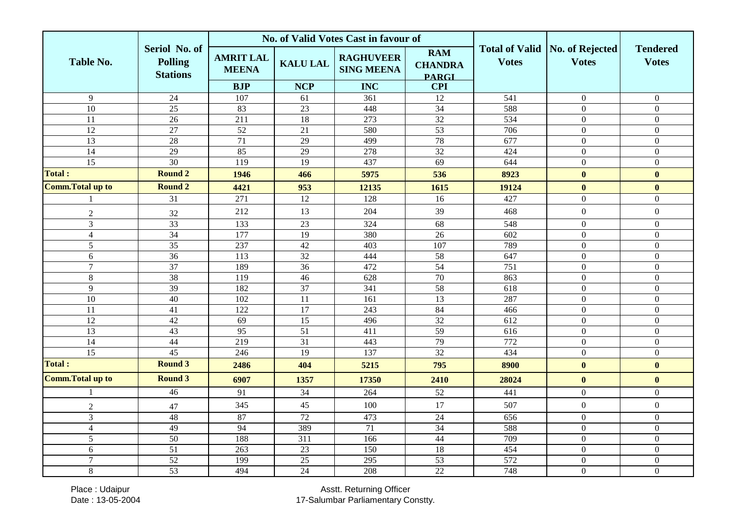|                          |                                                    |                                  |                 | No. of Valid Votes Cast in favour of  |                                              |              |                                                         |                                 |
|--------------------------|----------------------------------------------------|----------------------------------|-----------------|---------------------------------------|----------------------------------------------|--------------|---------------------------------------------------------|---------------------------------|
| <b>Table No.</b>         | Seriol No. of<br><b>Polling</b><br><b>Stations</b> | <b>AMRIT LAL</b><br><b>MEENA</b> | <b>KALU LAL</b> | <b>RAGHUVEER</b><br><b>SING MEENA</b> | <b>RAM</b><br><b>CHANDRA</b><br><b>PARGI</b> | <b>Votes</b> | <b>Total of Valid   No. of Rejected</b><br><b>Votes</b> | <b>Tendered</b><br><b>Votes</b> |
|                          |                                                    | <b>BJP</b>                       | <b>NCP</b>      | <b>INC</b>                            | <b>CPI</b>                                   |              |                                                         |                                 |
| $\overline{9}$           | 24                                                 | 107                              | 61              | $\overline{361}$                      | 12                                           | 541          | $\overline{0}$                                          | $\overline{0}$                  |
| 10                       | $\overline{25}$                                    | 83                               | 23              | 448                                   | 34                                           | 588          | $\boldsymbol{0}$                                        | $\boldsymbol{0}$                |
| $\overline{11}$          | $\overline{26}$                                    | $\overline{211}$                 | $\overline{18}$ | $\overline{273}$                      | $\overline{32}$                              | 534          | $\overline{0}$                                          | $\mathbf{0}$                    |
| $\overline{12}$          | 27                                                 | $\overline{52}$                  | $\overline{21}$ | 580                                   | $\overline{53}$                              | 706          | $\mathbf{0}$                                            | $\mathbf{0}$                    |
| 13                       | 28                                                 | 71                               | 29              | 499                                   | 78                                           | 677          | $\boldsymbol{0}$                                        | $\overline{0}$                  |
| 14                       | $\overline{29}$                                    | 85                               | 29              | 278                                   | 32                                           | 424          | $\overline{0}$                                          | $\overline{0}$                  |
| $\overline{15}$          | $\overline{30}$                                    | 119                              | 19              | 437                                   | 69                                           | 644          | $\boldsymbol{0}$                                        | $\boldsymbol{0}$                |
| <b>Total:</b>            | <b>Round 2</b>                                     | 1946                             | 466             | 5975                                  | 536                                          | 8923         | $\bf{0}$                                                | $\bf{0}$                        |
| <b>Comm. Total up to</b> | <b>Round 2</b>                                     | 4421                             | 953             | 12135                                 | 1615                                         | 19124        | $\bf{0}$                                                | $\mathbf{0}$                    |
|                          | 31                                                 | 271                              | 12              | 128                                   | 16                                           | 427          | $\boldsymbol{0}$                                        | $\boldsymbol{0}$                |
| $\overline{2}$           | 32                                                 | 212                              | 13              | 204                                   | 39                                           | 468          | $\boldsymbol{0}$                                        | $\boldsymbol{0}$                |
| 3                        | $\overline{33}$                                    | 133                              | 23              | $\frac{324}{ }$                       | 68                                           | 548          | $\overline{0}$                                          | $\mathbf{0}$                    |
| $\overline{4}$           | $\overline{34}$                                    | 177                              | 19              | 380                                   | $\overline{26}$                              | 602          | $\overline{0}$                                          | $\mathbf{0}$                    |
| 5                        | $\overline{35}$                                    | 237                              | $\overline{42}$ | 403                                   | 107                                          | 789          | $\overline{0}$                                          | $\mathbf{0}$                    |
| 6                        | $\overline{36}$                                    | $\overline{113}$                 | $\overline{32}$ | 444                                   | 58                                           | 647          | $\overline{0}$                                          | $\overline{0}$                  |
| $\overline{7}$           | 37                                                 | 189                              | 36              | 472                                   | 54                                           | 751          | $\overline{0}$                                          | $\mathbf{0}$                    |
| 8                        | $\overline{38}$                                    | 119                              | 46              | 628                                   | 70                                           | 863          | $\overline{0}$                                          | $\mathbf{0}$                    |
| 9                        | 39                                                 | 182                              | 37              | 341                                   | 58                                           | 618          | $\boldsymbol{0}$                                        | $\boldsymbol{0}$                |
| 10                       | 40                                                 | 102                              | 11              | 161                                   | $\overline{13}$                              | 287          | $\overline{0}$                                          | $\mathbf{0}$                    |
| 11                       | 41                                                 | 122                              | $\overline{17}$ | $\overline{243}$                      | 84                                           | 466          | $\mathbf{0}$                                            | $\mathbf{0}$                    |
| 12                       | 42                                                 | 69                               | 15              | 496                                   | 32                                           | 612          | $\overline{0}$                                          | $\overline{0}$                  |
| 13                       | 43                                                 | 95                               | 51              | 411                                   | 59                                           | 616          | $\overline{0}$                                          | $\overline{0}$                  |
| $\overline{14}$          | 44                                                 | $\overline{219}$                 | $\overline{31}$ | 443                                   | 79                                           | 772          | $\overline{0}$                                          | $\boldsymbol{0}$                |
| $\overline{15}$          | 45                                                 | $\frac{246}{ }$                  | 19              | 137                                   | 32                                           | 434          | $\overline{0}$                                          | $\mathbf{0}$                    |
| <b>Total:</b>            | <b>Round 3</b>                                     | 2486                             | 404             | 5215                                  | 795                                          | 8900         | $\bf{0}$                                                | $\bf{0}$                        |
| <b>Comm. Total up to</b> | <b>Round 3</b>                                     | 6907                             | 1357            | 17350                                 | 2410                                         | 28024        | $\bf{0}$                                                | $\boldsymbol{0}$                |
|                          | 46                                                 | 91                               | $\overline{34}$ | 264                                   | $\overline{52}$                              | 441          | $\overline{0}$                                          | $\overline{0}$                  |
| $\overline{2}$           | 47                                                 | 345                              | 45              | 100                                   | 17                                           | 507          | $\overline{0}$                                          | $\boldsymbol{0}$                |
| 3                        | 48                                                 | 87                               | 72              | 473                                   | $\overline{24}$                              | 656          | $\overline{0}$                                          | $\mathbf{0}$                    |
| $\overline{4}$           | 49                                                 | 94                               | 389             | 71                                    | 34                                           | 588          | $\overline{0}$                                          | $\overline{0}$                  |
| 5                        | 50                                                 | 188                              | 311             | 166                                   | 44                                           | 709          | $\overline{0}$                                          | $\overline{0}$                  |
| $6\,$                    | 51                                                 | 263                              | $\overline{23}$ | 150                                   | 18                                           | 454          | $\overline{0}$                                          | $\mathbf{0}$                    |
| $\overline{7}$           | $\overline{52}$                                    | 199                              | $\overline{25}$ | $\overline{295}$                      | $\overline{53}$                              | 572          | $\overline{0}$                                          | $\boldsymbol{0}$                |
| $\,8\,$                  | $\overline{53}$                                    | 494                              | $\overline{24}$ | 208                                   | $\overline{22}$                              | 748          | $\overline{0}$                                          | $\mathbf{0}$                    |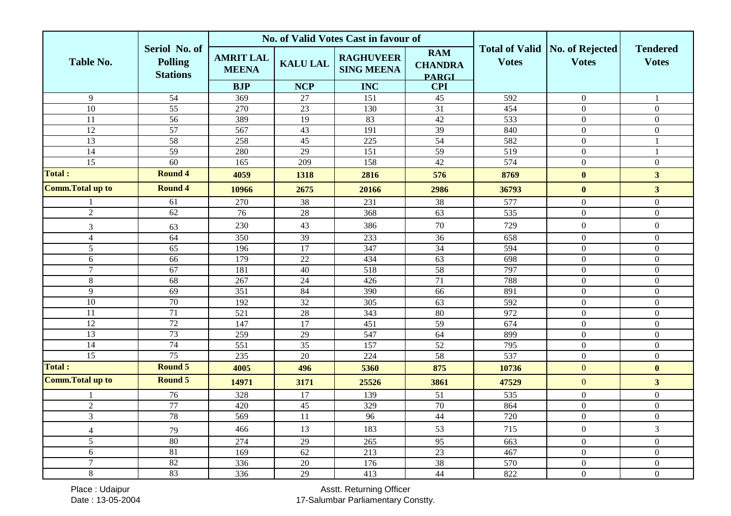|                          |                                             |                                                |                       | No. of Valid Votes Cast in favour of  |                                                            |                  |                                                         |                                 |
|--------------------------|---------------------------------------------|------------------------------------------------|-----------------------|---------------------------------------|------------------------------------------------------------|------------------|---------------------------------------------------------|---------------------------------|
| <b>Table No.</b>         | Seriol No. of<br>Polling<br><b>Stations</b> | <b>AMRIT LAL</b><br><b>MEENA</b><br><b>BJP</b> | <b>KALU LAL</b>       | <b>RAGHUVEER</b><br><b>SING MEENA</b> | <b>RAM</b><br><b>CHANDRA</b><br><b>PARGI</b><br><b>CPI</b> | <b>Votes</b>     | <b>Total of Valid   No. of Rejected</b><br><b>Votes</b> | <b>Tendered</b><br><b>Votes</b> |
|                          |                                             |                                                | <b>NCP</b>            | <b>INC</b>                            |                                                            |                  |                                                         |                                 |
| $\overline{9}$           | 54<br>55                                    | 369                                            | 27                    | 151                                   | 45                                                         | 592              | $\boldsymbol{0}$                                        | $\mathbf{1}$                    |
| 10                       | 56                                          | 270                                            | $\overline{23}$       | 130                                   | $\overline{31}$                                            | 454              | $\overline{0}$                                          | $\boldsymbol{0}$                |
| 11<br>$\overline{12}$    | 57                                          | 389                                            | 19<br>$\overline{43}$ | 83<br>191                             | 42<br>$\overline{39}$                                      | 533<br>840       | $\overline{0}$                                          | $\boldsymbol{0}$                |
| 13                       | 58                                          | 567                                            | 45                    | 225                                   | 54                                                         | 582              | $\overline{0}$<br>$\overline{0}$                        | $\mathbf{0}$<br>$\mathbf{1}$    |
| 14                       | 59                                          | 258<br>280                                     | $\overline{29}$       | 151                                   | 59                                                         | $\overline{519}$ | $\overline{0}$                                          | -1                              |
| 15                       | $\overline{60}$                             | 165                                            | 209                   | 158                                   | 42                                                         | 574              | $\overline{0}$                                          | $\boldsymbol{0}$                |
| <b>Total:</b>            | <b>Round 4</b>                              | 4059                                           | 1318                  | 2816                                  | 576                                                        | 8769             | $\bf{0}$                                                | $\mathbf{3}$                    |
| <b>Comm. Total up to</b> | <b>Round 4</b>                              | 10966                                          | 2675                  | 20166                                 | 2986                                                       | 36793            | $\bf{0}$                                                | $\overline{\mathbf{3}}$         |
|                          | 61                                          | 270                                            | $38\,$                | 231                                   | 38                                                         | 577              | $\overline{0}$                                          | $\mathbf{0}$                    |
| $\sqrt{2}$               | 62                                          | 76                                             | $\overline{28}$       | 368                                   | 63                                                         | 535              | $\boldsymbol{0}$                                        | $\overline{0}$                  |
| 3                        | 63                                          | 230                                            | 43                    | 386                                   | 70                                                         | 729              | $\boldsymbol{0}$                                        | $\boldsymbol{0}$                |
| $\overline{4}$           | 64                                          | 350                                            | $\overline{39}$       | 233                                   | 36                                                         | 658              | $\overline{0}$                                          | $\mathbf{0}$                    |
| 5                        | 65                                          | 196                                            | 17                    | 347                                   | 34                                                         | 594              | $\overline{0}$                                          | $\boldsymbol{0}$                |
| $6\,$                    | 66                                          | 179                                            | $\overline{22}$       | 434                                   | 63                                                         | 698              | $\overline{0}$                                          | $\mathbf{0}$                    |
| $\tau$                   | 67                                          | 181                                            | 40                    | 518                                   | 58                                                         | 797              | $\overline{0}$                                          | $\boldsymbol{0}$                |
| $\,8\,$                  | 68                                          | 267                                            | $\overline{24}$       | 426                                   | $\overline{71}$                                            | 788              | $\overline{0}$                                          | $\mathbf{0}$                    |
| 9                        | 69                                          | 351                                            | 84                    | 390                                   | 66                                                         | 891              | $\overline{0}$                                          | $\mathbf{0}$                    |
| 10                       | $\overline{70}$                             | 192                                            | $\overline{32}$       | $\overline{305}$                      | 63                                                         | 592              | $\boldsymbol{0}$                                        | $\mathbf{0}$                    |
| 11                       | 71                                          | $\overline{521}$                               | $28\,$                | 343                                   | 80                                                         | 972              | $\overline{0}$                                          | $\mathbf{0}$                    |
| $\overline{12}$          | 72                                          | 147                                            | $\overline{17}$       | 451                                   | 59                                                         | $\overline{674}$ | $\overline{0}$                                          | $\overline{0}$                  |
| 13                       | 73                                          | 259                                            | 29                    | 547                                   | 64                                                         | 899              | $\boldsymbol{0}$                                        | $\overline{0}$                  |
| $\overline{14}$          | 74                                          | 551                                            | $\overline{35}$       | 157                                   | $\overline{52}$                                            | 795              | $\overline{0}$                                          | $\mathbf{0}$                    |
| $\overline{15}$          | 75                                          | 235                                            | $\overline{20}$       | 224                                   | $\overline{58}$                                            | 537              | $\boldsymbol{0}$                                        | $\boldsymbol{0}$                |
| <b>Total:</b>            | <b>Round 5</b>                              | 4005                                           | 496                   | 5360                                  | 875                                                        | 10736            | $\overline{0}$                                          | $\bf{0}$                        |
| <b>Comm. Total up to</b> | <b>Round 5</b>                              | 14971                                          | 3171                  | 25526                                 | 3861                                                       | 47529            | $\overline{0}$                                          | $\overline{\mathbf{3}}$         |
|                          | 76                                          | 328                                            | 17                    | 139                                   | 51                                                         | 535              | $\overline{0}$                                          | $\boldsymbol{0}$                |
| $\overline{2}$           | 77                                          | 420                                            | 45                    | 329                                   | 70                                                         | 864              | $\overline{0}$                                          | $\mathbf{0}$                    |
| $\overline{3}$           | 78                                          | 569                                            | 11                    | 96                                    | 44                                                         | 720              | $\overline{0}$                                          | $\boldsymbol{0}$                |
| $\overline{4}$           | 79                                          | 466                                            | 13                    | 183                                   | 53                                                         | 715              | $\boldsymbol{0}$                                        | $\overline{3}$                  |
| $\mathfrak{S}$           | $\overline{80}$                             | 274                                            | 29                    | 265                                   | 95                                                         | 663              | $\overline{0}$                                          | $\overline{0}$                  |
| $6\,$                    | 81                                          | 169                                            | $\overline{62}$       | $\overline{213}$                      | $\overline{23}$                                            | 467              | $\boldsymbol{0}$                                        | $\boldsymbol{0}$                |
| $\overline{7}$           | 82                                          | 336                                            | $\overline{20}$       | 176                                   | $\overline{38}$                                            | 570              | $\overline{0}$                                          | $\mathbf{0}$                    |
| $\,8\,$                  | 83                                          | 336                                            | 29                    | $\overline{413}$                      | 44                                                         | 822              | $\overline{0}$                                          | $\boldsymbol{0}$                |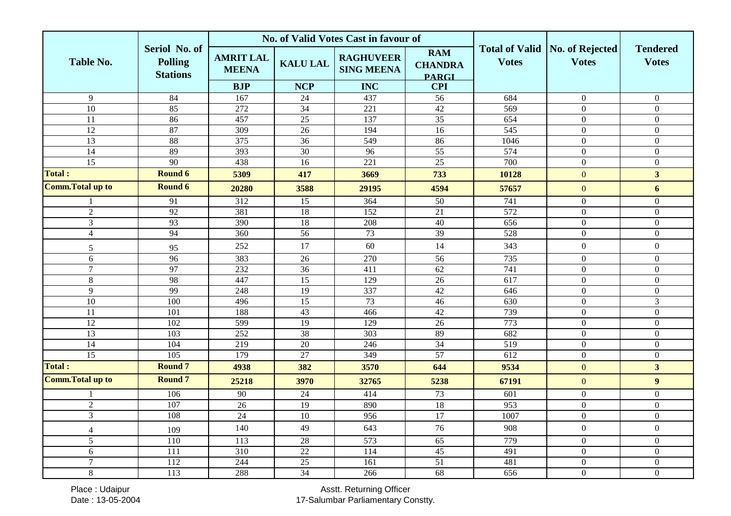|                          |                                                    |                                  |                 | No. of Valid Votes Cast in favour of  |                                              |                                       |                                 |                                 |
|--------------------------|----------------------------------------------------|----------------------------------|-----------------|---------------------------------------|----------------------------------------------|---------------------------------------|---------------------------------|---------------------------------|
| <b>Table No.</b>         | Seriol No. of<br><b>Polling</b><br><b>Stations</b> | <b>AMRIT LAL</b><br><b>MEENA</b> | <b>KALU LAL</b> | <b>RAGHUVEER</b><br><b>SING MEENA</b> | <b>RAM</b><br><b>CHANDRA</b><br><b>PARGI</b> | <b>Total of Valid</b><br><b>Votes</b> | No. of Rejected<br><b>Votes</b> | <b>Tendered</b><br><b>Votes</b> |
|                          |                                                    | <b>BJP</b>                       | <b>NCP</b>      | <b>INC</b>                            | <b>CPI</b>                                   |                                       |                                 |                                 |
| 9                        | 84                                                 | 167                              | 24              | 437                                   | 56                                           | 684                                   | $\overline{0}$                  | $\boldsymbol{0}$                |
| 10                       | 85                                                 | 272                              | 34              | 221                                   | 42                                           | 569                                   | $\boldsymbol{0}$                | $\boldsymbol{0}$                |
| $\overline{11}$          | 86                                                 | 457                              | $\overline{25}$ | 137                                   | $\overline{35}$                              | 654                                   | $\mathbf{0}$                    | $\mathbf{0}$                    |
| $\overline{12}$          | 87                                                 | 309                              | $\overline{26}$ | 194                                   | 16                                           | 545                                   | $\mathbf{0}$                    | $\overline{0}$                  |
| 13                       | 88                                                 | 375                              | 36              | 549                                   | 86                                           | 1046                                  | $\overline{0}$                  | $\boldsymbol{0}$                |
| $\overline{14}$          | 89                                                 | 393                              | $\overline{30}$ | 96                                    | $\overline{55}$                              | 574                                   | $\mathbf{0}$                    | $\mathbf{0}$                    |
| 15                       | 90                                                 | 438                              | 16              | 221                                   | 25                                           | 700                                   | $\boldsymbol{0}$                | $\overline{0}$                  |
| <b>Total:</b>            | Round 6                                            | 5309                             | 417             | 3669                                  | 733                                          | 10128                                 | $\overline{0}$                  | 3 <sup>1</sup>                  |
| <b>Comm. Total up to</b> | Round 6                                            | 20280                            | 3588            | 29195                                 | 4594                                         | 57657                                 | $\mathbf{0}$                    | 6                               |
|                          | $\overline{91}$                                    | 312                              | 15              | 364                                   | 50                                           | 741                                   | $\boldsymbol{0}$                | $\overline{0}$                  |
| $\overline{2}$           | 92                                                 | 381                              | 18              | 152                                   | 21                                           | 572                                   | $\mathbf{0}$                    | $\mathbf{0}$                    |
| $\overline{3}$           | $\overline{93}$                                    | 390                              | 18              | 208                                   | 40                                           | 656                                   | $\boldsymbol{0}$                | $\overline{0}$                  |
| $\overline{4}$           | $\overline{94}$                                    | 360                              | 56              | 73                                    | 39                                           | 528                                   | $\mathbf{0}$                    | $\mathbf{0}$                    |
| 5                        | 95                                                 | 252                              | 17              | 60                                    | 14                                           | 343                                   | $\mathbf{0}$                    | $\boldsymbol{0}$                |
| 6                        | $\overline{96}$                                    | 383                              | 26              | $\overline{270}$                      | $\overline{56}$                              | 735                                   | $\overline{0}$                  | $\overline{0}$                  |
| 7                        | 97                                                 | 232                              | 36              | 411                                   | 62                                           | 741                                   | $\mathbf{0}$                    | $\boldsymbol{0}$                |
| 8                        | 98                                                 | 447                              | $\overline{15}$ | $\overline{129}$                      | 26                                           | 617                                   | $\mathbf{0}$                    | $\mathbf{0}$                    |
| 9                        | 99                                                 | 248                              | 19              | 337                                   | 42                                           | 646                                   | $\overline{0}$                  | $\boldsymbol{0}$                |
| 10                       | 100                                                | 496                              | 15              | 73                                    | 46                                           | 630                                   | $\boldsymbol{0}$                | $\overline{3}$                  |
| 11                       | 101                                                | 188                              | 43              | 466                                   | 42                                           | 739                                   | $\boldsymbol{0}$                | $\boldsymbol{0}$                |
| $\overline{12}$          | 102                                                | 599                              | $\overline{19}$ | 129                                   | 26                                           | 773                                   | $\mathbf{0}$                    | $\mathbf{0}$                    |
| $\overline{13}$          | 103                                                | 252                              | $\overline{38}$ | 303                                   | 89                                           | 682                                   | $\overline{0}$                  | $\overline{0}$                  |
| 14                       | 104                                                | 219                              | 20              | 246                                   | 34                                           | 519                                   | $\overline{0}$                  | $\boldsymbol{0}$                |
| $\overline{15}$          | 105                                                | 179                              | $\overline{27}$ | 349                                   | 57                                           | 612                                   | $\boldsymbol{0}$                | $\boldsymbol{0}$                |
| <b>Total:</b>            | <b>Round 7</b>                                     | 4938                             | 382             | 3570                                  | 644                                          | 9534                                  | $\overline{0}$                  | $\overline{\mathbf{3}}$         |
| <b>Comm. Total up to</b> | <b>Round 7</b>                                     | 25218                            | 3970            | 32765                                 | 5238                                         | 67191                                 | $\overline{0}$                  | $\boldsymbol{9}$                |
|                          | 106                                                | 90                               | $\overline{24}$ | 414                                   | 73                                           | 601                                   | $\mathbf{0}$                    | $\overline{0}$                  |
| $\overline{2}$           | 107                                                | 26                               | 19              | 890                                   | 18                                           | 953                                   | $\boldsymbol{0}$                | $\boldsymbol{0}$                |
| $\overline{3}$           | $\overline{108}$                                   | 24                               | 10              | 956                                   | $\overline{17}$                              | 1007                                  | $\mathbf{0}$                    | $\mathbf{0}$                    |
| $\overline{4}$           | 109                                                | 140                              | 49              | 643                                   | 76                                           | 908                                   | $\mathbf{0}$                    | $\boldsymbol{0}$                |
| 5                        | 110                                                | 113                              | 28              | 573                                   | 65                                           | 779                                   | $\Omega$                        | $\boldsymbol{0}$                |
| $6\,$                    | $\overline{111}$                                   | $\overline{310}$                 | $\overline{22}$ | 114                                   | 45                                           | 491                                   | $\boldsymbol{0}$                | $\boldsymbol{0}$                |
| 7                        | 112                                                | 244                              | $\overline{25}$ | 161                                   | $\overline{51}$                              | 481                                   | $\overline{0}$                  | $\boldsymbol{0}$                |
| $\,8\,$                  | 113                                                | 288                              | $\overline{34}$ | 266                                   | 68                                           | 656                                   | $\boldsymbol{0}$                | $\boldsymbol{0}$                |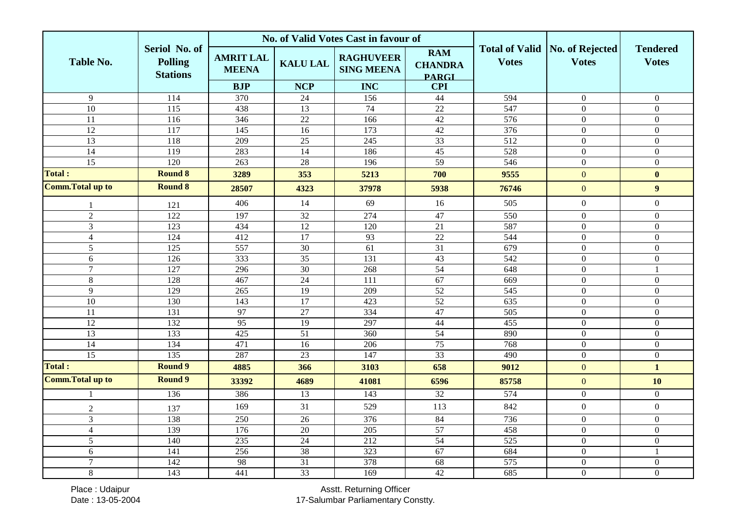|                          |                                             |                                  |                 | No. of Valid Votes Cast in favour of  |                                              |              |                                                  |                                 |
|--------------------------|---------------------------------------------|----------------------------------|-----------------|---------------------------------------|----------------------------------------------|--------------|--------------------------------------------------|---------------------------------|
| <b>Table No.</b>         | Seriol No. of<br>Polling<br><b>Stations</b> | <b>AMRIT LAL</b><br><b>MEENA</b> | <b>KALU LAL</b> | <b>RAGHUVEER</b><br><b>SING MEENA</b> | <b>RAM</b><br><b>CHANDRA</b><br><b>PARGI</b> | <b>Votes</b> | Total of Valid   No. of Rejected<br><b>Votes</b> | <b>Tendered</b><br><b>Votes</b> |
|                          |                                             | <b>BJP</b>                       | <b>NCP</b>      | <b>INC</b>                            | <b>CPI</b>                                   |              |                                                  |                                 |
| 9                        | 114                                         | 370                              | 24              | 156                                   | 44                                           | 594          | $\overline{0}$                                   | $\overline{0}$                  |
| 10                       | 115                                         | 438                              | 13              | 74                                    | 22                                           | 547          | $\overline{0}$                                   | $\boldsymbol{0}$                |
| $\overline{11}$          | 116                                         | 346                              | $\overline{22}$ | 166                                   | 42                                           | 576          | $\overline{0}$                                   | $\mathbf{0}$                    |
| $\overline{12}$          | $\overline{117}$                            | 145                              | $\overline{16}$ | 173                                   | 42                                           | 376          | $\overline{0}$                                   | $\mathbf{0}$                    |
| 13                       | 118                                         | 209                              | 25              | 245                                   | 33                                           | 512          | $\overline{0}$                                   | $\mathbf{0}$                    |
| $\overline{14}$          | 119                                         | 283                              | 14              | 186                                   | $\overline{45}$                              | 528          | $\overline{0}$                                   | $\mathbf{0}$                    |
| 15                       | 120                                         | 263                              | 28              | 196                                   | 59                                           | 546          | $\overline{0}$                                   | $\mathbf{0}$                    |
| <b>Total:</b>            | <b>Round 8</b>                              | 3289                             | 353             | 5213                                  | 700                                          | 9555         | $\overline{0}$                                   | $\bf{0}$                        |
| <b>Comm. Total up to</b> | <b>Round 8</b>                              | 28507                            | 4323            | 37978                                 | 5938                                         | 76746        | $\overline{0}$                                   | 9                               |
|                          | 121                                         | 406                              | 14              | 69                                    | 16                                           | 505          | $\boldsymbol{0}$                                 | $\boldsymbol{0}$                |
| $\overline{2}$           | $\overline{122}$                            | 197                              | 32              | 274                                   | 47                                           | 550          | $\overline{0}$                                   | $\boldsymbol{0}$                |
| $\overline{3}$           | 123                                         | 434                              | $\overline{12}$ | 120                                   | $\overline{21}$                              | 587          | $\overline{0}$                                   | $\mathbf{0}$                    |
| $\overline{4}$           | 124                                         | 412                              | 17              | 93                                    | $22\,$                                       | 544          | $\overline{0}$                                   | $\theta$                        |
| 5                        | 125                                         | 557                              | $\overline{30}$ | 61                                    | 31                                           | 679          | $\overline{0}$                                   | $\mathbf{0}$                    |
| 6                        | 126                                         | 333                              | $\overline{35}$ | 131                                   | $\overline{43}$                              | 542          | $\overline{0}$                                   | $\mathbf{0}$                    |
| $\overline{7}$           | 127                                         | 296                              | $\overline{30}$ | 268                                   | $\overline{54}$                              | 648          | $\overline{0}$                                   | $\mathbf{1}$                    |
| 8                        | 128                                         | 467                              | 24              | 111                                   | 67                                           | 669          | $\overline{0}$                                   | $\mathbf{0}$                    |
| 9                        | 129                                         | 265                              | 19              | 209                                   | 52                                           | 545          | $\overline{0}$                                   | $\mathbf{0}$                    |
| 10                       | 130                                         | 143                              | 17              | 423                                   | $\overline{52}$                              | 635          | $\overline{0}$                                   | $\boldsymbol{0}$                |
| 11                       | 131                                         | 97                               | 27              | 334                                   | 47                                           | 505          | $\overline{0}$                                   | $\boldsymbol{0}$                |
| $\overline{12}$          | 132                                         | $\overline{95}$                  | $\overline{19}$ | 297                                   | 44                                           | 455          | $\mathbf{0}$                                     | $\overline{0}$                  |
| $\overline{13}$          | 133                                         | 425                              | 51              | 360                                   | $\overline{54}$                              | 890          | $\overline{0}$                                   | $\overline{0}$                  |
| 14                       | 134                                         | 471                              | 16              | 206                                   | 75                                           | 768          | $\overline{0}$                                   | $\overline{0}$                  |
| $\overline{15}$          | 135                                         | 287                              | $\overline{23}$ | 147                                   | 33                                           | 490          | $\overline{0}$                                   | $\boldsymbol{0}$                |
| <b>Total:</b>            | <b>Round 9</b>                              | 4885                             | 366             | 3103                                  | 658                                          | 9012         | $\overline{0}$                                   | $\mathbf{1}$                    |
| <b>Comm. Total up to</b> | <b>Round 9</b>                              | 33392                            | 4689            | 41081                                 | 6596                                         | 85758        | $\overline{0}$                                   | 10                              |
|                          | 136                                         | 386                              | 13              | 143                                   | $\overline{32}$                              | 574          | $\overline{0}$                                   | $\boldsymbol{0}$                |
| $\mathfrak{2}$           | 137                                         | 169                              | 31              | 529                                   | 113                                          | 842          | $\overline{0}$                                   | $\boldsymbol{0}$                |
| 3                        | 138                                         | 250                              | 26              | 376                                   | 84                                           | 736          | $\overline{0}$                                   | $\overline{0}$                  |
| $\overline{4}$           | 139                                         | 176                              | $20\,$          | 205                                   | 57                                           | 458          | $\overline{0}$                                   | $\mathbf{0}$                    |
| 5                        | 140                                         | 235                              | 24              | 212                                   | 54                                           | 525          | $\overline{0}$                                   | $\boldsymbol{0}$                |
| $6\,$                    | 141                                         | 256                              | $\overline{38}$ | 323                                   | 67                                           | 684          | $\overline{0}$                                   | $\mathbf{1}$                    |
| $\overline{7}$           | $\overline{142}$                            | 98                               | 31              | 378                                   | 68                                           | 575          | $\overline{0}$                                   | $\overline{0}$                  |
| $\,8\,$                  | 143                                         | 441                              | $\overline{33}$ | 169                                   | $\overline{42}$                              | 685          | $\overline{0}$                                   | $\boldsymbol{0}$                |